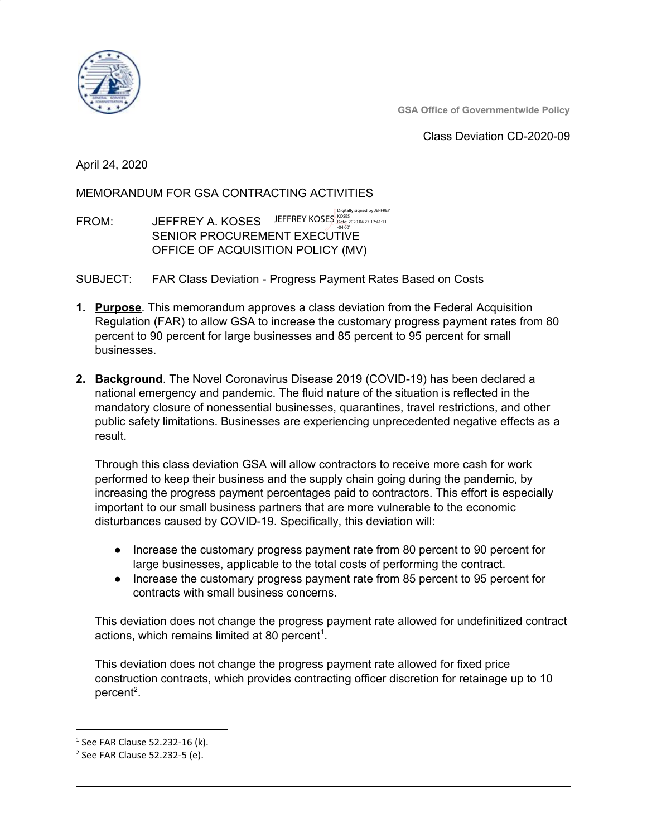

**GSA Office of Governmentwide Policy**

Class Deviation CD-2020-09

April 24, 2020

MEMORANDUM FOR GSA CONTRACTING ACTIVITIES

FROM: JEFFREY A. KOSES JEFFREY KOSES States 200.04.27 17:41:11<br>- 2020.04.27 17:41:11 SENIOR PROCUREMENT EXECUTIVE OFFICE OF ACQUISITION POLICY (MV)

SUBJECT: FAR Class Deviation - Progress Payment Rates Based on Costs

- **1. Purpose**. This memorandum approves a class deviation from the Federal Acquisition Regulation (FAR) to allow GSA to increase the customary progress payment rates from 80 percent to 90 percent for large businesses and 85 percent to 95 percent for small businesses.
- **2. Background**. The Novel Coronavirus Disease 2019 (COVID-19) has been declared a national emergency and pandemic. The fluid nature of the situation is reflected in the mandatory closure of nonessential businesses, quarantines, travel restrictions, and other public safety limitations. Businesses are experiencing unprecedented negative effects as a result.

Through this class deviation GSA will allow contractors to receive more cash for work performed to keep their business and the supply chain going during the pandemic, by increasing the progress payment percentages paid to contractors. This effort is especially important to our small business partners that are more vulnerable to the economic disturbances caused by COVID-19. Specifically, this deviation will:

- Increase the customary progress payment rate from 80 percent to 90 percent for large businesses, applicable to the total costs of performing the contract.
- Increase the customary progress payment rate from 85 percent to 95 percent for contracts with small business concerns.

This deviation does not change the progress payment rate allowed for undefinitized contract actions, which remains limited at 80 percent<sup>1</sup>.

This deviation does not change the progress payment rate allowed for fixed price construction contracts, which provides contracting officer discretion for retainage up to 10 percent<sup>2</sup>.

 $1$  See FAR Clause 52.232-16 (k).

<sup>2</sup> See FAR Clause 52.232-5 (e).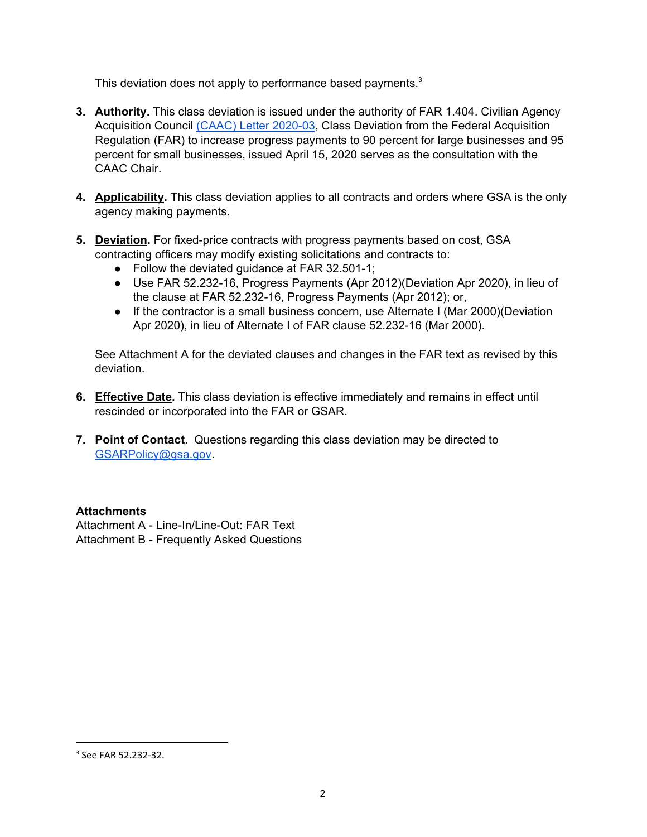This deviation does not apply to performance based payments.<sup>3</sup>

- **3. Authority.** This class deviation is issued under the authority of FAR 1.404. Civilian Agency Acquisition Council (CAAC) Letter [2020-03](https://www.acquisition.gov/sites/default/files/page_file_uploads/CAAC-Letter-2020-03.pdf), Class Deviation from the Federal Acquisition Regulation (FAR) to increase progress payments to 90 percent for large businesses and 95 percent for small businesses, issued April 15, 2020 serves as the consultation with the CAAC Chair.
- **4. Applicability.** This class deviation applies to all contracts and orders where GSA is the only agency making payments.
- **5. Deviation.** For fixed-price contracts with progress payments based on cost, GSA contracting officers may modify existing solicitations and contracts to:
	- Follow the deviated guidance at FAR 32.501-1;
	- Use FAR 52.232-16, Progress Payments (Apr 2012)(Deviation Apr 2020), in lieu of the clause at FAR 52.232-16, Progress Payments (Apr 2012); or,
	- If the contractor is a small business concern, use Alternate I (Mar 2000)(Deviation Apr 2020), in lieu of Alternate I of FAR clause 52.232-16 (Mar 2000).

See Attachment A for the deviated clauses and changes in the FAR text as revised by this deviation.

- **6. Effective Date.** This class deviation is effective immediately and remains in effect until rescinded or incorporated into the FAR or GSAR.
- **7. Point of Contact**. Questions regarding this class deviation may be directed to [GSARPolicy@gsa.gov](mailto:GSARPolicy@gsa.gov).

#### **Attachments**

Attachment A - Line-In/Line-Out: FAR Text Attachment B - Frequently Asked Questions

<sup>3</sup> See FAR 52.232-32.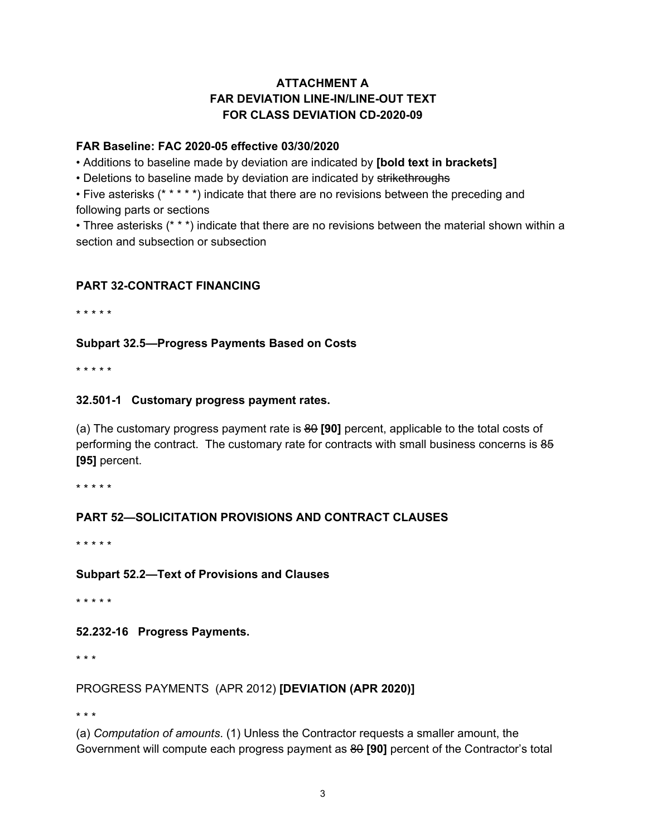# **ATTACHMENT A FAR DEVIATION LINE-IN/LINE-OUT TEXT FOR CLASS DEVIATION CD-2020-09**

#### **FAR Baseline: FAC 2020-05 effective 03/30/2020**

• Additions to baseline made by deviation are indicated by **[bold text in brackets]**

• Deletions to baseline made by deviation are indicated by strikethroughs

• Five asterisks (\* \* \* \* \*) indicate that there are no revisions between the preceding and

following parts or sections

• Three asterisks (\* \* \*) indicate that there are no revisions between the material shown within a section and subsection or subsection

## **PART 32-CONTRACT FINANCING**

\* \* \* \* \*

## **Subpart 32.5—Progress Payments Based on Costs**

\* \* \* \* \*

## **32.501-1 Customary progress payment rates.**

(a) The customary progress payment rate is 80 **[90]** percent, applicable to the total costs of performing the contract. The customary rate for contracts with small business concerns is 85 **[95]** percent.

\* \* \* \* \*

## **PART 52—SOLICITATION PROVISIONS AND CONTRACT CLAUSES**

\* \* \* \* \*

## **Subpart 52.2—Text of Provisions and Clauses**

\* \* \* \* \*

## **52.232-16 Progress Payments.**

\* \* \*

## PROGRESS PAYMENTS (APR 2012) **[DEVIATION (APR 2020)]**

\* \* \*

(a) *Computation of amounts*. (1) Unless the Contractor requests a smaller amount, the Government will compute each progress payment as 80 **[90]** percent of the Contractor's total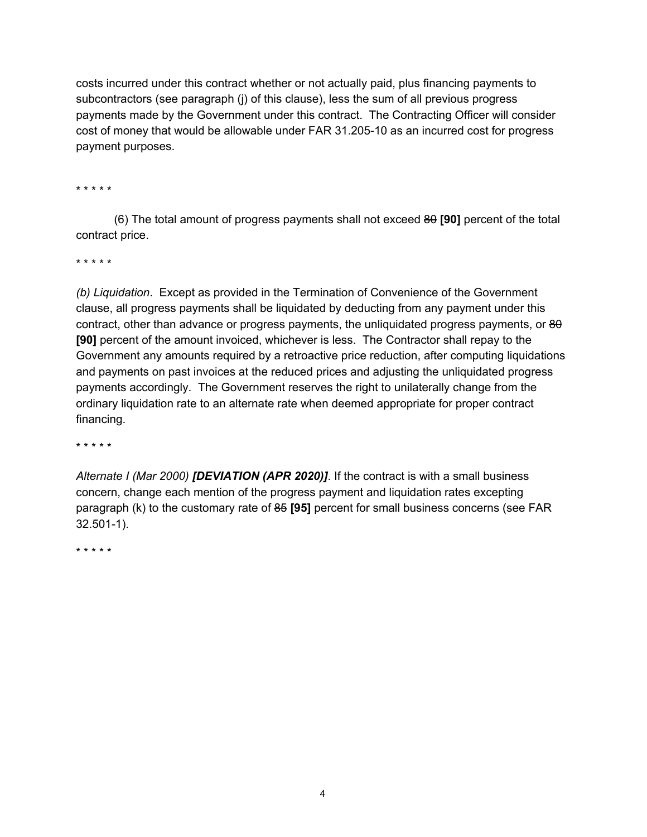costs incurred under this contract whether or not actually paid, plus financing payments to subcontractors (see paragraph (j) of this clause), less the sum of all previous progress payments made by the Government under this contract. The Contracting Officer will consider cost of money that would be allowable under FAR 31.205-10 as an incurred cost for progress payment purposes.

\* \* \* \* \*

(6) The total amount of progress payments shall not exceed 80 **[90]** percent of the total contract price.

\* \* \* \* \*

*(b) Liquidation*. Except as provided in the Termination of Convenience of the Government clause, all progress payments shall be liquidated by deducting from any payment under this contract, other than advance or progress payments, the unliquidated progress payments, or 80 **[90]** percent of the amount invoiced, whichever is less. The Contractor shall repay to the Government any amounts required by a retroactive price reduction, after computing liquidations and payments on past invoices at the reduced prices and adjusting the unliquidated progress payments accordingly. The Government reserves the right to unilaterally change from the ordinary liquidation rate to an alternate rate when deemed appropriate for proper contract financing.

\* \* \* \* \*

*Alternate I (Mar 2000) [DEVIATION (APR 2020)]*. If the contract is with a small business concern, change each mention of the progress payment and liquidation rates excepting paragraph (k) to the customary rate of 85 **[95]** percent for small business concerns (see FAR 32.501-1).

\* \* \* \* \*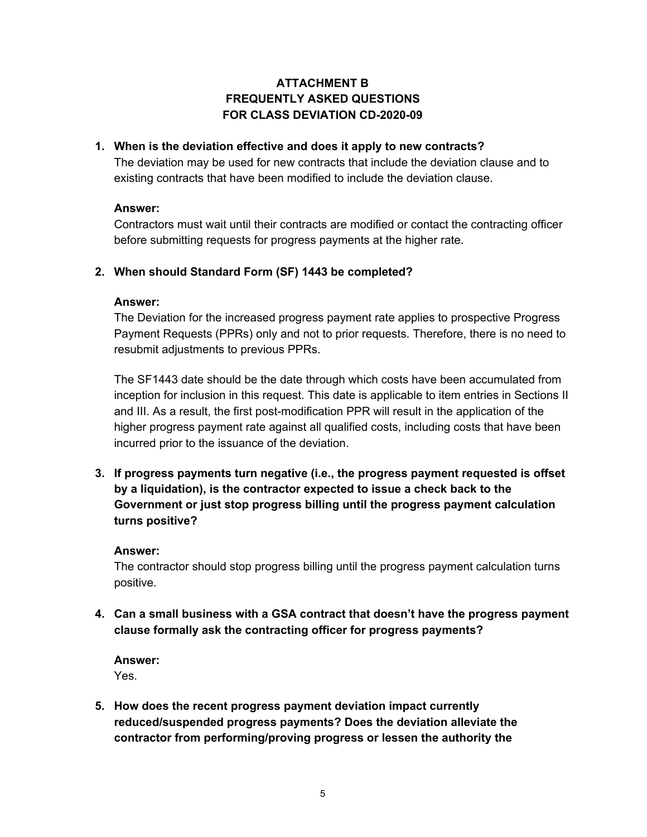# **ATTACHMENT B FREQUENTLY ASKED QUESTIONS FOR CLASS DEVIATION CD-2020-09**

#### **1. When is the deviation effective and does it apply to new contracts?**

The deviation may be used for new contracts that include the deviation clause and to existing contracts that have been modified to include the deviation clause.

#### **Answer:**

Contractors must wait until their contracts are modified or contact the contracting officer before submitting requests for progress payments at the higher rate.

## **2. When should Standard Form (SF) 1443 be completed?**

#### **Answer:**

The Deviation for the increased progress payment rate applies to prospective Progress Payment Requests (PPRs) only and not to prior requests. Therefore, there is no need to resubmit adjustments to previous PPRs.

The SF1443 date should be the date through which costs have been accumulated from inception for inclusion in this request. This date is applicable to item entries in Sections II and III. As a result, the first post-modification PPR will result in the application of the higher progress payment rate against all qualified costs, including costs that have been incurred prior to the issuance of the deviation.

**3. If progress payments turn negative (i.e., the progress payment requested is offset by a liquidation), is the contractor expected to issue a check back to the Government or just stop progress billing until the progress payment calculation turns positive?**

#### **Answer:**

The contractor should stop progress billing until the progress payment calculation turns positive.

**4. Can a small business with a GSA contract that doesn't have the progress payment clause formally ask the contracting officer for progress payments?**

# **Answer:**

Yes.

**5. How does the recent progress payment deviation impact currently reduced/suspended progress payments? Does the deviation alleviate the contractor from performing/proving progress or lessen the authority the**